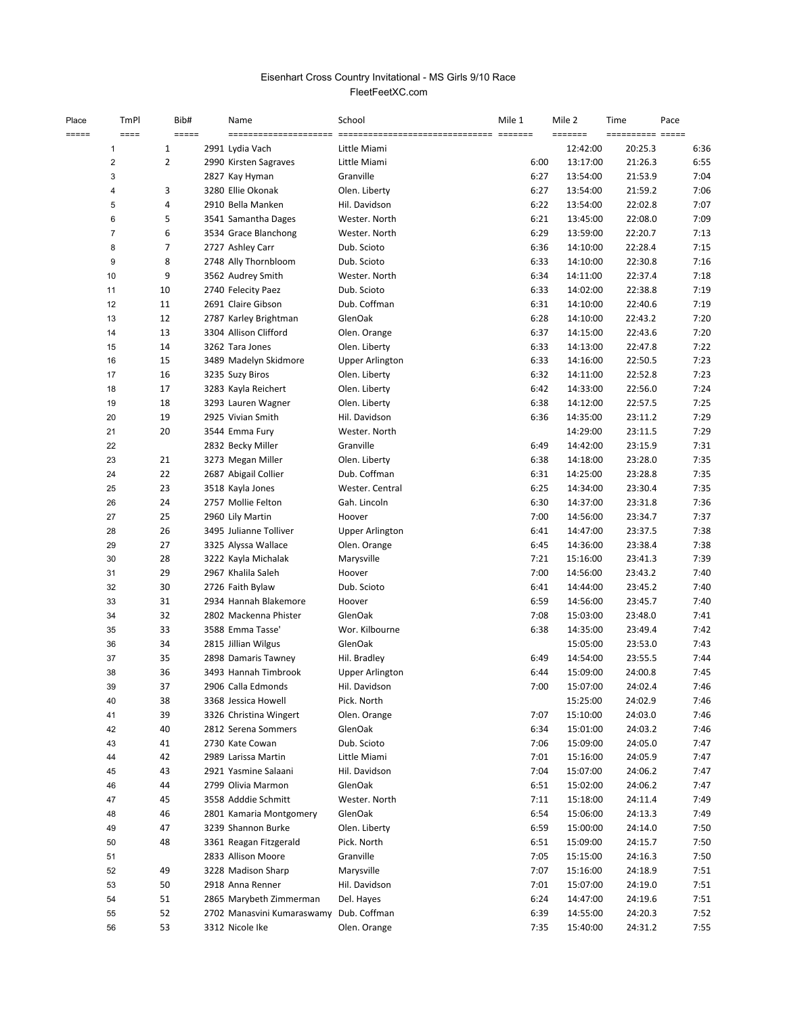## FleetFeetXC.com Eisenhart Cross Country Invitational - MS Girls 9/10 Race

| Place | TmPl                    | Bib#           | Name                                     | School                           | Mile 1       | Mile 2               | Time               | Pace         |
|-------|-------------------------|----------------|------------------------------------------|----------------------------------|--------------|----------------------|--------------------|--------------|
| ===== | ====                    | =====          | ----------------------                   |                                  |              | <b>SESSEES</b>       | ========== =====   |              |
|       | $\overline{1}$          | 1              | 2991 Lydia Vach                          | Little Miami                     |              | 12:42:00             | 20:25.3            | 6:36         |
|       | $\sqrt{2}$              | $\overline{2}$ | 2990 Kirsten Sagraves                    | Little Miami                     | 6:00         | 13:17:00             | 21:26.3            | 6:55         |
|       | 3                       |                | 2827 Kay Hyman                           | Granville                        | 6:27         | 13:54:00             | 21:53.9            | 7:04         |
|       | $\overline{\mathbf{4}}$ | 3              | 3280 Ellie Okonak                        | Olen. Liberty                    | 6:27         | 13:54:00             | 21:59.2            | 7:06         |
|       | 5                       | 4              | 2910 Bella Manken                        | Hil. Davidson                    | 6:22         | 13:54:00             | 22:02.8            | 7:07         |
|       | 6                       | 5              | 3541 Samantha Dages                      | Wester. North                    | 6:21         | 13:45:00             | 22:08.0            | 7:09         |
|       | $\overline{7}$          | 6              | 3534 Grace Blanchong                     | Wester. North                    | 6:29         | 13:59:00             | 22:20.7            | 7:13         |
|       | 8                       | $\overline{7}$ | 2727 Ashley Carr                         | Dub. Scioto                      | 6:36         | 14:10:00             | 22:28.4            | 7:15         |
|       | 9                       | 8              | 2748 Ally Thornbloom                     | Dub. Scioto                      | 6:33         | 14:10:00             | 22:30.8            | 7:16         |
|       | 10                      | 9              | 3562 Audrey Smith                        | Wester. North                    | 6:34         | 14:11:00             | 22:37.4            | 7:18         |
|       | 11                      | 10             | 2740 Felecity Paez                       | Dub. Scioto                      | 6:33         | 14:02:00             | 22:38.8            | 7:19         |
|       | 12                      | 11<br>12       | 2691 Claire Gibson                       | Dub. Coffman                     | 6:31         | 14:10:00             | 22:40.6            | 7:19         |
|       | 13                      |                | 2787 Karley Brightman                    | GlenOak                          | 6:28         | 14:10:00             | 22:43.2            | 7:20         |
|       | 14<br>15                | 13<br>14       | 3304 Allison Clifford<br>3262 Tara Jones | Olen. Orange                     | 6:37<br>6:33 | 14:15:00<br>14:13:00 | 22:43.6<br>22:47.8 | 7:20<br>7:22 |
|       | 16                      | 15             | 3489 Madelyn Skidmore                    | Olen. Liberty                    | 6:33         | 14:16:00             | 22:50.5            | 7:23         |
|       | 17                      | 16             | 3235 Suzy Biros                          | Upper Arlington<br>Olen. Liberty | 6:32         | 14:11:00             | 22:52.8            | 7:23         |
|       | 18                      | 17             | 3283 Kayla Reichert                      | Olen. Liberty                    | 6:42         | 14:33:00             | 22:56.0            | 7:24         |
|       | 19                      | 18             | 3293 Lauren Wagner                       | Olen. Liberty                    | 6:38         | 14:12:00             | 22:57.5            | 7:25         |
|       | 20                      | 19             | 2925 Vivian Smith                        | Hil. Davidson                    | 6:36         | 14:35:00             | 23:11.2            | 7:29         |
|       | 21                      | 20             | 3544 Emma Fury                           | Wester. North                    |              | 14:29:00             | 23:11.5            | 7:29         |
|       | 22                      |                | 2832 Becky Miller                        | Granville                        | 6:49         | 14:42:00             | 23:15.9            | 7:31         |
|       | 23                      | 21             | 3273 Megan Miller                        | Olen. Liberty                    | 6:38         | 14:18:00             | 23:28.0            | 7:35         |
|       | 24                      | 22             | 2687 Abigail Collier                     | Dub. Coffman                     | 6:31         | 14:25:00             | 23:28.8            | 7:35         |
|       | 25                      | 23             | 3518 Kayla Jones                         | Wester. Central                  | 6:25         | 14:34:00             | 23:30.4            | 7:35         |
|       | 26                      | 24             | 2757 Mollie Felton                       | Gah. Lincoln                     | 6:30         | 14:37:00             | 23:31.8            | 7:36         |
|       | 27                      | 25             | 2960 Lily Martin                         | Hoover                           | 7:00         | 14:56:00             | 23:34.7            | 7:37         |
|       | 28                      | 26             | 3495 Julianne Tolliver                   | <b>Upper Arlington</b>           | 6:41         | 14:47:00             | 23:37.5            | 7:38         |
|       | 29                      | 27             | 3325 Alyssa Wallace                      | Olen. Orange                     | 6:45         | 14:36:00             | 23:38.4            | 7:38         |
|       | 30                      | 28             | 3222 Kayla Michalak                      | Marysville                       | 7:21         | 15:16:00             | 23:41.3            | 7:39         |
|       | 31                      | 29             | 2967 Khalila Saleh                       | Hoover                           | 7:00         | 14:56:00             | 23:43.2            | 7:40         |
|       | 32                      | 30             | 2726 Faith Bylaw                         | Dub. Scioto                      | 6:41         | 14:44:00             | 23:45.2            | 7:40         |
|       | 33                      | 31             | 2934 Hannah Blakemore                    | Hoover                           | 6:59         | 14:56:00             | 23:45.7            | 7:40         |
|       | 34                      | 32             | 2802 Mackenna Phister                    | GlenOak                          | 7:08         | 15:03:00             | 23:48.0            | 7:41         |
|       | 35                      | 33             | 3588 Emma Tasse'                         | Wor. Kilbourne                   | 6:38         | 14:35:00             | 23:49.4            | 7:42         |
|       | 36                      | 34             | 2815 Jillian Wilgus                      | GlenOak                          |              | 15:05:00             | 23:53.0            | 7:43         |
|       | 37                      | 35             | 2898 Damaris Tawney                      | Hil. Bradley                     | 6:49         | 14:54:00             | 23:55.5            | 7:44         |
|       | 38                      | 36             | 3493 Hannah Timbrook                     | <b>Upper Arlington</b>           | 6:44         | 15:09:00             | 24:00.8            | 7:45         |
|       | 39                      | 37             | 2906 Calla Edmonds                       | Hil. Davidson                    | 7:00         | 15:07:00             | 24:02.4            | 7:46         |
|       | 40                      | 38             | 3368 Jessica Howell                      | Pick. North                      |              | 15:25:00             | 24:02.9            | 7:46         |
|       | 41                      | 39             | 3326 Christina Wingert                   | Olen. Orange                     | 7:07         | 15:10:00             | 24:03.0            | 7:46         |
|       | 42                      | 40             | 2812 Serena Sommers                      | GlenOak                          | 6:34         | 15:01:00             | 24:03.2            | 7:46         |
|       | 43                      | 41             | 2730 Kate Cowan                          | Dub. Scioto                      | 7:06         | 15:09:00             | 24:05.0            | 7:47         |
|       | 44                      | 42             | 2989 Larissa Martin                      | Little Miami                     | 7:01         | 15:16:00             | 24:05.9            | 7:47         |
|       | 45                      | 43             | 2921 Yasmine Salaani                     | Hil. Davidson                    | 7:04         | 15:07:00             | 24:06.2            | 7:47         |
|       | 46                      | 44             | 2799 Olivia Marmon                       | GlenOak                          | 6:51         | 15:02:00             | 24:06.2            | 7:47         |
|       | 47                      | 45             | 3558 Adddie Schmitt                      | Wester. North                    | 7:11         | 15:18:00             | 24:11.4            | 7:49         |
|       | 48                      | 46             | 2801 Kamaria Montgomery                  | GlenOak                          | 6:54         | 15:06:00             | 24:13.3            | 7:49         |
|       | 49                      | 47             | 3239 Shannon Burke                       | Olen. Liberty                    | 6:59         | 15:00:00             | 24:14.0            | 7:50         |
|       | 50                      | 48             | 3361 Reagan Fitzgerald                   | Pick. North                      | 6:51         | 15:09:00             | 24:15.7            | 7:50         |
|       | 51                      |                | 2833 Allison Moore                       | Granville                        | 7:05         | 15:15:00             | 24:16.3            | 7:50         |
|       | 52                      | 49             | 3228 Madison Sharp                       | Marysville                       | 7:07         | 15:16:00             | 24:18.9            | 7:51         |
|       | 53                      | 50             | 2918 Anna Renner                         | Hil. Davidson                    | 7:01         | 15:07:00             | 24:19.0            | 7:51         |
|       | 54                      | 51             | 2865 Marybeth Zimmerman                  | Del. Hayes                       | 6:24         | 14:47:00             | 24:19.6            | 7:51         |
|       | 55                      | 52             | 2702 Manasvini Kumaraswamy               | Dub. Coffman                     | 6:39         | 14:55:00             | 24:20.3            | 7:52         |
|       | 56                      | 53             | 3312 Nicole Ike                          | Olen. Orange                     | 7:35         | 15:40:00             | 24:31.2            | 7:55         |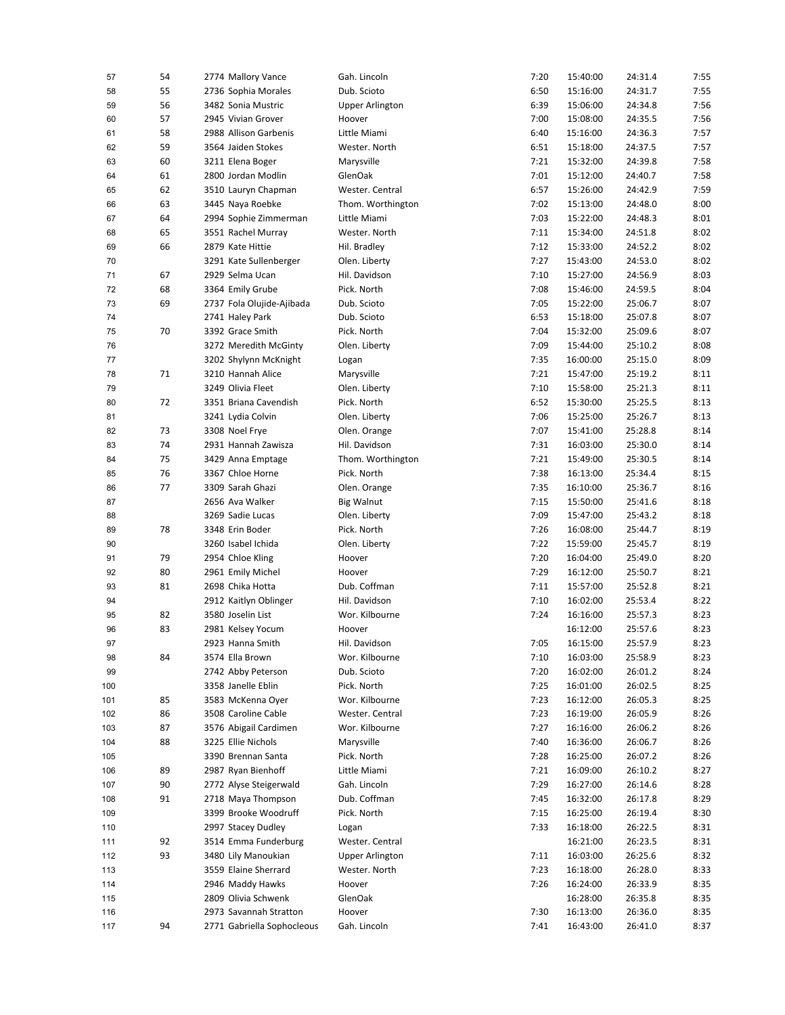| 57       | 54 | 2774 Mallory Vance         | Gah. Lincoln           | 7:20         | 15:40:00 | 24:31.4            | 7:55         |
|----------|----|----------------------------|------------------------|--------------|----------|--------------------|--------------|
| 58       | 55 | 2736 Sophia Morales        | Dub. Scioto            | 6:50         | 15:16:00 | 24:31.7            | 7:55         |
| 59       | 56 | 3482 Sonia Mustric         | <b>Upper Arlington</b> | 6:39         | 15:06:00 | 24:34.8            | 7:56         |
| 60       | 57 | 2945 Vivian Grover         | Hoover                 | 7:00         | 15:08:00 | 24:35.5            | 7:56         |
| 61       | 58 | 2988 Allison Garbenis      | Little Miami           | 6:40         | 15:16:00 | 24:36.3            | 7:57         |
| 62       | 59 | 3564 Jaiden Stokes         | Wester. North          | 6:51         | 15:18:00 | 24:37.5            | 7:57         |
| 63       | 60 | 3211 Elena Boger           | Marysville             | 7:21         | 15:32:00 | 24:39.8            | 7:58         |
| 64       | 61 | 2800 Jordan Modlin         | GlenOak                | 7:01         | 15:12:00 | 24:40.7            | 7:58         |
| 65       | 62 | 3510 Lauryn Chapman        | Wester. Central        | 6:57         | 15:26:00 | 24:42.9            | 7:59         |
| 66       | 63 | 3445 Naya Roebke           | Thom. Worthington      | 7:02         | 15:13:00 | 24:48.0            | 8:00         |
| 67       | 64 | 2994 Sophie Zimmerman      | Little Miami           | 7:03         | 15:22:00 | 24:48.3            | 8:01         |
| 68       | 65 | 3551 Rachel Murray         | Wester. North          | 7:11         | 15:34:00 | 24:51.8            | 8:02         |
| 69       | 66 | 2879 Kate Hittie           | Hil. Bradley           | 7:12         | 15:33:00 | 24:52.2            | 8:02         |
| 70       |    | 3291 Kate Sullenberger     | Olen. Liberty          | 7:27         | 15:43:00 | 24:53.0            | 8:02         |
| 71       | 67 | 2929 Selma Ucan            | Hil. Davidson          | 7:10         | 15:27:00 | 24:56.9            | 8:03         |
| 72       | 68 | 3364 Emily Grube           | Pick. North            | 7:08         | 15:46:00 | 24:59.5            | 8:04         |
| 73       | 69 | 2737 Fola Olujide-Ajibada  | Dub. Scioto            | 7:05         | 15:22:00 | 25:06.7            | 8:07         |
| 74       |    | 2741 Haley Park            | Dub. Scioto            | 6:53         | 15:18:00 | 25:07.8            | 8:07         |
| 75       | 70 | 3392 Grace Smith           | Pick. North            | 7:04         | 15:32:00 | 25:09.6            | 8:07         |
| 76       |    | 3272 Meredith McGinty      | Olen. Liberty          | 7:09         | 15:44:00 | 25:10.2            | 8:08         |
| 77       |    | 3202 Shylynn McKnight      | Logan                  | 7:35         | 16:00:00 | 25:15.0            | 8:09         |
| 78       | 71 | 3210 Hannah Alice          | Marysville             | 7:21         | 15:47:00 | 25:19.2            | 8:11         |
| 79       |    | 3249 Olivia Fleet          | Olen. Liberty          | 7:10         | 15:58:00 | 25:21.3            | 8:11         |
| 80       | 72 | 3351 Briana Cavendish      | Pick. North            | 6:52         | 15:30:00 | 25:25.5            | 8:13         |
| 81       |    | 3241 Lydia Colvin          | Olen. Liberty          | 7:06         | 15:25:00 | 25:26.7            | 8:13         |
| 82       | 73 | 3308 Noel Frye             | Olen. Orange           | 7:07         | 15:41:00 | 25:28.8            | 8:14         |
| 83       | 74 | 2931 Hannah Zawisza        | Hil. Davidson          | 7:31         | 16:03:00 | 25:30.0            | 8:14         |
| 84       | 75 | 3429 Anna Emptage          | Thom. Worthington      | 7:21         | 15:49:00 | 25:30.5            | 8:14         |
| 85       | 76 | 3367 Chloe Horne           | Pick. North            | 7:38         | 16:13:00 | 25:34.4            | 8:15         |
| 86       | 77 | 3309 Sarah Ghazi           | Olen. Orange           | 7:35         | 16:10:00 | 25:36.7            | 8:16         |
| 87       |    | 2656 Ava Walker            | <b>Big Walnut</b>      | 7:15         | 15:50:00 | 25:41.6            | 8:18         |
|          |    | 3269 Sadie Lucas           | Olen. Liberty          | 7:09         | 15:47:00 | 25:43.2            | 8:18         |
| 88<br>89 | 78 | 3348 Erin Boder            | Pick. North            | 7:26         | 16:08:00 | 25:44.7            | 8:19         |
|          |    | 3260 Isabel Ichida         |                        |              |          |                    | 8:19         |
| 90       | 79 |                            | Olen. Liberty          | 7:22<br>7:20 | 15:59:00 | 25:45.7            | 8:20         |
| 91       |    | 2954 Chloe Kling           | Hoover                 |              | 16:04:00 | 25:49.0            |              |
| 92       | 80 | 2961 Emily Michel          | Hoover<br>Dub. Coffman | 7:29         | 16:12:00 | 25:50.7            | 8:21         |
| 93       | 81 | 2698 Chika Hotta           |                        | 7:11         | 15:57:00 | 25:52.8            | 8:21         |
| 94       |    | 2912 Kaitlyn Oblinger      | Hil. Davidson          | 7:10         | 16:02:00 | 25:53.4<br>25:57.3 | 8:22         |
| 95       | 82 | 3580 Joselin List          | Wor. Kilbourne         | 7:24         | 16:16:00 |                    | 8:23<br>8:23 |
| 96       | 83 | 2981 Kelsey Yocum          | Hoover                 |              | 16:12:00 | 25:57.6            |              |
| 97       |    | 2923 Hanna Smith           | Hil. Davidson          | 7:05         | 16:15:00 | 25:57.9            | 8:23         |
| 98       | 84 | 3574 Ella Brown            | Wor. Kilbourne         | 7:10         | 16:03:00 | 25:58.9            | 8:23         |
| 99       |    | 2742 Abby Peterson         | Dub. Scioto            | 7:20         | 16:02:00 | 26:01.2            | 8:24         |
| 100      |    | 3358 Janelle Eblin         | Pick. North            | 7:25         | 16:01:00 | 26:02.5            | 8:25         |
| 101      | 85 | 3583 McKenna Oyer          | Wor. Kilbourne         | 7:23         | 16:12:00 | 26:05.3            | 8:25         |
| 102      | 86 | 3508 Caroline Cable        | Wester. Central        | 7:23         | 16:19:00 | 26:05.9            | 8:26         |
| 103      | 87 | 3576 Abigail Cardimen      | Wor. Kilbourne         | 7:27         | 16:16:00 | 26:06.2            | 8:26         |
| 104      | 88 | 3225 Ellie Nichols         | Marysville             | 7:40         | 16:36:00 | 26:06.7            | 8:26         |
| 105      |    | 3390 Brennan Santa         | Pick. North            | 7:28         | 16:25:00 | 26:07.2            | 8:26         |
| 106      | 89 | 2987 Ryan Bienhoff         | Little Miami           | 7:21         | 16:09:00 | 26:10.2            | 8:27         |
| 107      | 90 | 2772 Alyse Steigerwald     | Gah. Lincoln           | 7:29         | 16:27:00 | 26:14.6            | 8:28         |
| 108      | 91 | 2718 Maya Thompson         | Dub. Coffman           | 7:45         | 16:32:00 | 26:17.8            | 8:29         |
| 109      |    | 3399 Brooke Woodruff       | Pick. North            | 7:15         | 16:25:00 | 26:19.4            | 8:30         |
| 110      |    | 2997 Stacey Dudley         | Logan                  | 7:33         | 16:18:00 | 26:22.5            | 8:31         |
| 111      | 92 | 3514 Emma Funderburg       | Wester. Central        |              | 16:21:00 | 26:23.5            | 8:31         |
| 112      | 93 | 3480 Lily Manoukian        | <b>Upper Arlington</b> | 7:11         | 16:03:00 | 26:25.6            | 8:32         |
| 113      |    | 3559 Elaine Sherrard       | Wester. North          | 7:23         | 16:18:00 | 26:28.0            | 8:33         |
| 114      |    | 2946 Maddy Hawks           | Hoover                 | 7:26         | 16:24:00 | 26:33.9            | 8:35         |
| 115      |    | 2809 Olivia Schwenk        | GlenOak                |              | 16:28:00 | 26:35.8            | 8:35         |
| 116      |    | 2973 Savannah Stratton     | Hoover                 | 7:30         | 16:13:00 | 26:36.0            | 8:35         |
| 117      | 94 | 2771 Gabriella Sophocleous | Gah. Lincoln           | 7:41         | 16:43:00 | 26:41.0            | 8:37         |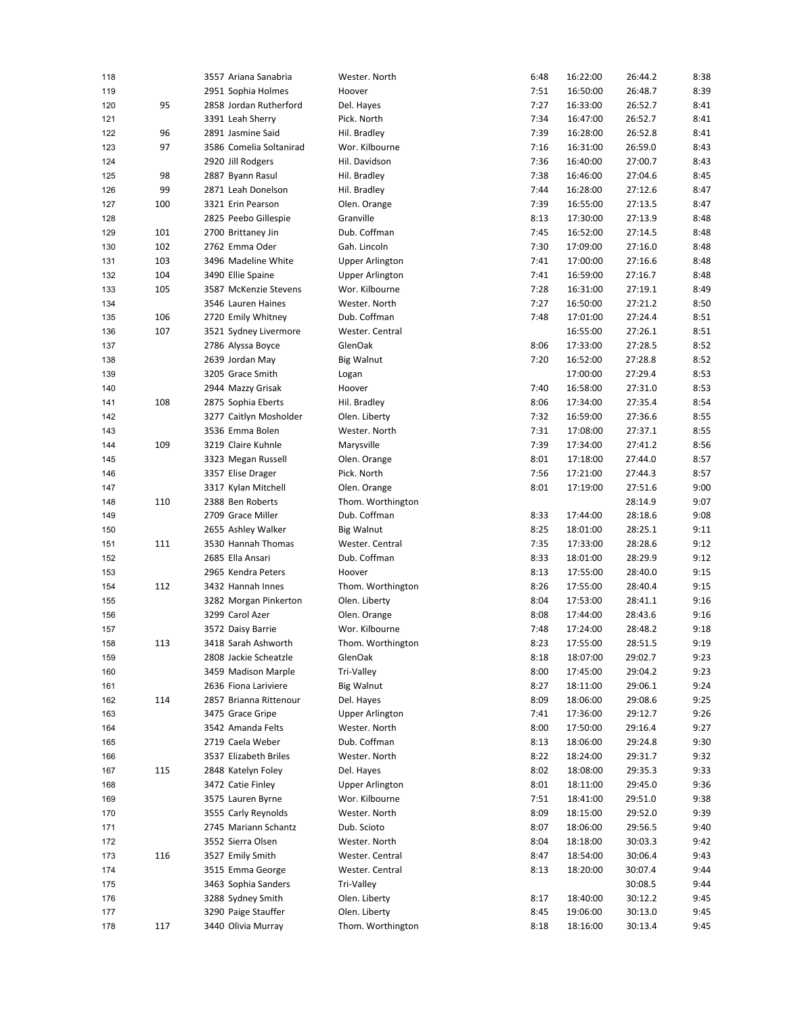| 118 |     | 3557 Ariana Sanabria    | Wester. North          | 6:48 | 16:22:00 | 26:44.2 | 8:38 |
|-----|-----|-------------------------|------------------------|------|----------|---------|------|
| 119 |     | 2951 Sophia Holmes      | Hoover                 | 7:51 | 16:50:00 | 26:48.7 | 8:39 |
| 120 | 95  | 2858 Jordan Rutherford  | Del. Hayes             | 7:27 | 16:33:00 | 26:52.7 | 8:41 |
| 121 |     | 3391 Leah Sherry        | Pick. North            | 7:34 | 16:47:00 | 26:52.7 | 8:41 |
| 122 | 96  | 2891 Jasmine Said       | Hil. Bradley           | 7:39 | 16:28:00 | 26:52.8 | 8:41 |
| 123 | 97  | 3586 Comelia Soltanirad | Wor. Kilbourne         | 7:16 | 16:31:00 | 26:59.0 | 8:43 |
| 124 |     | 2920 Jill Rodgers       | Hil. Davidson          | 7:36 | 16:40:00 | 27:00.7 | 8:43 |
| 125 | 98  | 2887 Byann Rasul        | Hil. Bradley           | 7:38 | 16:46:00 | 27:04.6 | 8:45 |
| 126 | 99  | 2871 Leah Donelson      | Hil. Bradley           | 7:44 | 16:28:00 | 27:12.6 | 8:47 |
| 127 | 100 | 3321 Erin Pearson       | Olen. Orange           | 7:39 | 16:55:00 | 27:13.5 | 8:47 |
| 128 |     | 2825 Peebo Gillespie    | Granville              | 8:13 | 17:30:00 | 27:13.9 | 8:48 |
| 129 | 101 | 2700 Brittaney Jin      | Dub. Coffman           | 7:45 | 16:52:00 | 27:14.5 | 8:48 |
| 130 | 102 | 2762 Emma Oder          | Gah. Lincoln           | 7:30 | 17:09:00 | 27:16.0 | 8:48 |
| 131 | 103 | 3496 Madeline White     | <b>Upper Arlington</b> | 7:41 | 17:00:00 | 27:16.6 | 8:48 |
| 132 | 104 | 3490 Ellie Spaine       | Upper Arlington        | 7:41 | 16:59:00 | 27:16.7 | 8:48 |
| 133 | 105 | 3587 McKenzie Stevens   | Wor. Kilbourne         | 7:28 | 16:31:00 | 27:19.1 | 8:49 |
| 134 |     | 3546 Lauren Haines      | Wester. North          | 7:27 | 16:50:00 | 27:21.2 | 8:50 |
| 135 | 106 | 2720 Emily Whitney      | Dub. Coffman           | 7:48 | 17:01:00 | 27:24.4 | 8:51 |
| 136 | 107 | 3521 Sydney Livermore   | Wester. Central        |      | 16:55:00 | 27:26.1 | 8:51 |
| 137 |     | 2786 Alyssa Boyce       | GlenOak                | 8:06 | 17:33:00 | 27:28.5 | 8:52 |
|     |     | 2639 Jordan May         |                        | 7:20 | 16:52:00 | 27:28.8 | 8:52 |
| 138 |     |                         | <b>Big Walnut</b>      |      |          |         |      |
| 139 |     | 3205 Grace Smith        | Logan                  |      | 17:00:00 | 27:29.4 | 8:53 |
| 140 |     | 2944 Mazzy Grisak       | Hoover                 | 7:40 | 16:58:00 | 27:31.0 | 8:53 |
| 141 | 108 | 2875 Sophia Eberts      | Hil. Bradley           | 8:06 | 17:34:00 | 27:35.4 | 8:54 |
| 142 |     | 3277 Caitlyn Mosholder  | Olen. Liberty          | 7:32 | 16:59:00 | 27:36.6 | 8:55 |
| 143 |     | 3536 Emma Bolen         | Wester. North          | 7:31 | 17:08:00 | 27:37.1 | 8:55 |
| 144 | 109 | 3219 Claire Kuhnle      | Marysville             | 7:39 | 17:34:00 | 27:41.2 | 8:56 |
| 145 |     | 3323 Megan Russell      | Olen. Orange           | 8:01 | 17:18:00 | 27:44.0 | 8:57 |
| 146 |     | 3357 Elise Drager       | Pick. North            | 7:56 | 17:21:00 | 27:44.3 | 8:57 |
| 147 |     | 3317 Kylan Mitchell     | Olen. Orange           | 8:01 | 17:19:00 | 27:51.6 | 9:00 |
| 148 | 110 | 2388 Ben Roberts        | Thom. Worthington      |      |          | 28:14.9 | 9:07 |
| 149 |     | 2709 Grace Miller       | Dub. Coffman           | 8:33 | 17:44:00 | 28:18.6 | 9:08 |
| 150 |     | 2655 Ashley Walker      | <b>Big Walnut</b>      | 8:25 | 18:01:00 | 28:25.1 | 9:11 |
| 151 | 111 | 3530 Hannah Thomas      | Wester. Central        | 7:35 | 17:33:00 | 28:28.6 | 9:12 |
| 152 |     | 2685 Ella Ansari        | Dub. Coffman           | 8:33 | 18:01:00 | 28:29.9 | 9:12 |
| 153 |     | 2965 Kendra Peters      | Hoover                 | 8:13 | 17:55:00 | 28:40.0 | 9:15 |
| 154 | 112 | 3432 Hannah Innes       | Thom. Worthington      | 8:26 | 17:55:00 | 28:40.4 | 9:15 |
| 155 |     | 3282 Morgan Pinkerton   | Olen. Liberty          | 8:04 | 17:53:00 | 28:41.1 | 9:16 |
| 156 |     | 3299 Carol Azer         | Olen. Orange           | 8:08 | 17:44:00 | 28:43.6 | 9:16 |
| 157 |     | 3572 Daisy Barrie       | Wor. Kilbourne         | 7:48 | 17:24:00 | 28:48.2 | 9:18 |
| 158 | 113 | 3418 Sarah Ashworth     | Thom. Worthington      | 8:23 | 17:55:00 | 28:51.5 | 9:19 |
| 159 |     | 2808 Jackie Scheatzle   | GlenOak                | 8:18 | 18:07:00 | 29:02.7 | 9:23 |
| 160 |     | 3459 Madison Marple     | Tri-Valley             | 8:00 | 17:45:00 | 29:04.2 | 9:23 |
| 161 |     | 2636 Fiona Lariviere    | <b>Big Walnut</b>      | 8:27 | 18:11:00 | 29:06.1 | 9:24 |
| 162 | 114 | 2857 Brianna Rittenour  | Del. Hayes             | 8:09 | 18:06:00 | 29:08.6 | 9:25 |
| 163 |     | 3475 Grace Gripe        | <b>Upper Arlington</b> | 7:41 | 17:36:00 | 29:12.7 | 9:26 |
| 164 |     | 3542 Amanda Felts       | Wester. North          | 8:00 | 17:50:00 | 29:16.4 | 9:27 |
| 165 |     | 2719 Caela Weber        | Dub. Coffman           | 8:13 | 18:06:00 | 29:24.8 | 9:30 |
| 166 |     | 3537 Elizabeth Briles   | Wester. North          | 8:22 | 18:24:00 | 29:31.7 | 9:32 |
| 167 | 115 | 2848 Katelyn Foley      | Del. Hayes             | 8:02 | 18:08:00 | 29:35.3 | 9:33 |
| 168 |     | 3472 Catie Finley       | <b>Upper Arlington</b> | 8:01 | 18:11:00 | 29:45.0 | 9:36 |
| 169 |     | 3575 Lauren Byrne       | Wor. Kilbourne         | 7:51 | 18:41:00 | 29:51.0 | 9:38 |
| 170 |     | 3555 Carly Reynolds     | Wester. North          | 8:09 | 18:15:00 | 29:52.0 | 9:39 |
| 171 |     | 2745 Mariann Schantz    | Dub. Scioto            | 8:07 | 18:06:00 | 29:56.5 | 9:40 |
| 172 |     | 3552 Sierra Olsen       | Wester. North          | 8:04 | 18:18:00 | 30:03.3 | 9:42 |
| 173 | 116 | 3527 Emily Smith        | Wester. Central        | 8:47 | 18:54:00 | 30:06.4 | 9:43 |
| 174 |     | 3515 Emma George        | Wester. Central        | 8:13 | 18:20:00 | 30:07.4 | 9:44 |
| 175 |     | 3463 Sophia Sanders     | Tri-Valley             |      |          | 30:08.5 | 9:44 |
| 176 |     | 3288 Sydney Smith       | Olen. Liberty          | 8:17 | 18:40:00 | 30:12.2 | 9:45 |
| 177 |     | 3290 Paige Stauffer     | Olen. Liberty          | 8:45 | 19:06:00 | 30:13.0 | 9:45 |
| 178 | 117 | 3440 Olivia Murray      | Thom. Worthington      | 8:18 | 18:16:00 | 30:13.4 | 9:45 |
|     |     |                         |                        |      |          |         |      |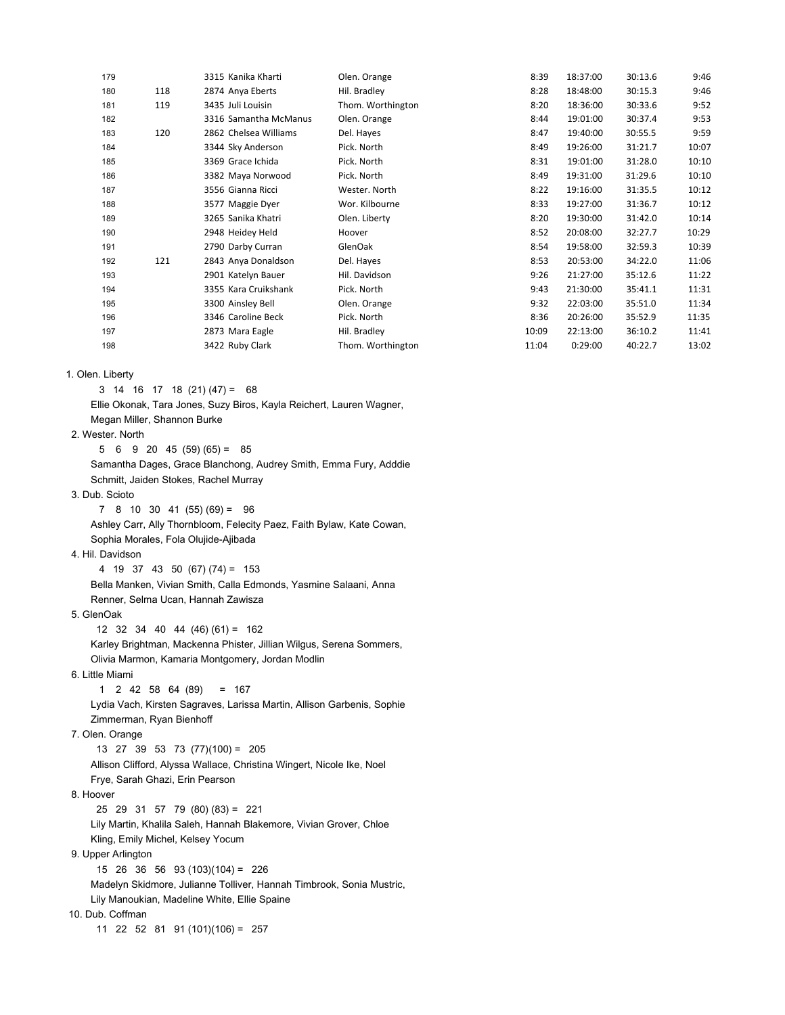| 179 |     | 3315 Kanika Kharti    | Olen. Orange      | 8:39  | 18:37:00 | 30:13.6 | 9:46  |
|-----|-----|-----------------------|-------------------|-------|----------|---------|-------|
| 180 | 118 | 2874 Anya Eberts      | Hil. Bradley      | 8:28  | 18:48:00 | 30:15.3 | 9:46  |
| 181 | 119 | 3435 Juli Louisin     | Thom. Worthington | 8:20  | 18:36:00 | 30:33.6 | 9:52  |
| 182 |     | 3316 Samantha McManus | Olen. Orange      | 8:44  | 19:01:00 | 30:37.4 | 9:53  |
| 183 | 120 | 2862 Chelsea Williams | Del. Hayes        | 8:47  | 19:40:00 | 30:55.5 | 9:59  |
| 184 |     | 3344 Sky Anderson     | Pick. North       | 8:49  | 19:26:00 | 31:21.7 | 10:07 |
| 185 |     | 3369 Grace Ichida     | Pick. North       | 8:31  | 19:01:00 | 31:28.0 | 10:10 |
| 186 |     | 3382 Maya Norwood     | Pick. North       | 8:49  | 19:31:00 | 31:29.6 | 10:10 |
| 187 |     | 3556 Gianna Ricci     | Wester. North     | 8:22  | 19:16:00 | 31:35.5 | 10:12 |
| 188 |     | 3577 Maggie Dyer      | Wor. Kilbourne    | 8:33  | 19:27:00 | 31:36.7 | 10:12 |
| 189 |     | 3265 Sanika Khatri    | Olen. Liberty     | 8:20  | 19:30:00 | 31:42.0 | 10:14 |
| 190 |     | 2948 Heidey Held      | Hoover            | 8:52  | 20:08:00 | 32:27.7 | 10:29 |
| 191 |     | 2790 Darby Curran     | GlenOak           | 8:54  | 19:58:00 | 32:59.3 | 10:39 |
| 192 | 121 | 2843 Anya Donaldson   | Del. Hayes        | 8:53  | 20:53:00 | 34:22.0 | 11:06 |
| 193 |     | 2901 Katelyn Bauer    | Hil. Davidson     | 9:26  | 21:27:00 | 35:12.6 | 11:22 |
| 194 |     | 3355 Kara Cruikshank  | Pick. North       | 9:43  | 21:30:00 | 35:41.1 | 11:31 |
| 195 |     | 3300 Ainsley Bell     | Olen. Orange      | 9:32  | 22:03:00 | 35:51.0 | 11:34 |
| 196 |     | 3346 Caroline Beck    | Pick. North       | 8:36  | 20:26:00 | 35:52.9 | 11:35 |
| 197 |     | 2873 Mara Eagle       | Hil. Bradley      | 10:09 | 22:13:00 | 36:10.2 | 11:41 |
| 198 |     | 3422 Ruby Clark       | Thom. Worthington | 11:04 | 0:29:00  | 40:22.7 | 13:02 |
|     |     |                       |                   |       |          |         |       |

1. Olen. Liberty

3 14 16 17 18 (21) (47) = 68

 Ellie Okonak, Tara Jones, Suzy Biros, Kayla Reichert, Lauren Wagner, Megan Miller, Shannon Burke

2. Wester. North

5 6 9 20 45 (59) (65) = 85

 Samantha Dages, Grace Blanchong, Audrey Smith, Emma Fury, Adddie Schmitt, Jaiden Stokes, Rachel Murray

3. Dub. Scioto

 $7 \t8 \t10 \t30 \t41 \t(55) \t(69) = 96$ 

 Ashley Carr, Ally Thornbloom, Felecity Paez, Faith Bylaw, Kate Cowan, Sophia Morales, Fola Olujide-Ajibada

4. Hil. Davidson

 4 19 37 43 50 (67) (74) = 153 Bella Manken, Vivian Smith, Calla Edmonds, Yasmine Salaani, Anna Renner, Selma Ucan, Hannah Zawisza

5. GlenOak

 12 32 34 40 44 (46) (61) = 162 Karley Brightman, Mackenna Phister, Jillian Wilgus, Serena Sommers, Olivia Marmon, Kamaria Montgomery, Jordan Modlin

6. Little Miami

1 2 42 58 64 (89) = 167

 Lydia Vach, Kirsten Sagraves, Larissa Martin, Allison Garbenis, Sophie Zimmerman, Ryan Bienhoff

7. Olen. Orange

 13 27 39 53 73 (77)(100) = 205 Allison Clifford, Alyssa Wallace, Christina Wingert, Nicole Ike, Noel Frye, Sarah Ghazi, Erin Pearson 8. Hoover 25 29 31 57 79 (80) (83) = 221 Lily Martin, Khalila Saleh, Hannah Blakemore, Vivian Grover, Chloe Kling, Emily Michel, Kelsey Yocum 9. Upper Arlington 15 26 36 56 93 (103)(104) = 226 Madelyn Skidmore, Julianne Tolliver, Hannah Timbrook, Sonia Mustric, Lily Manoukian, Madeline White, Ellie Spaine

10. Dub. Coffman

11 22 52 81 91 (101)(106) = 257